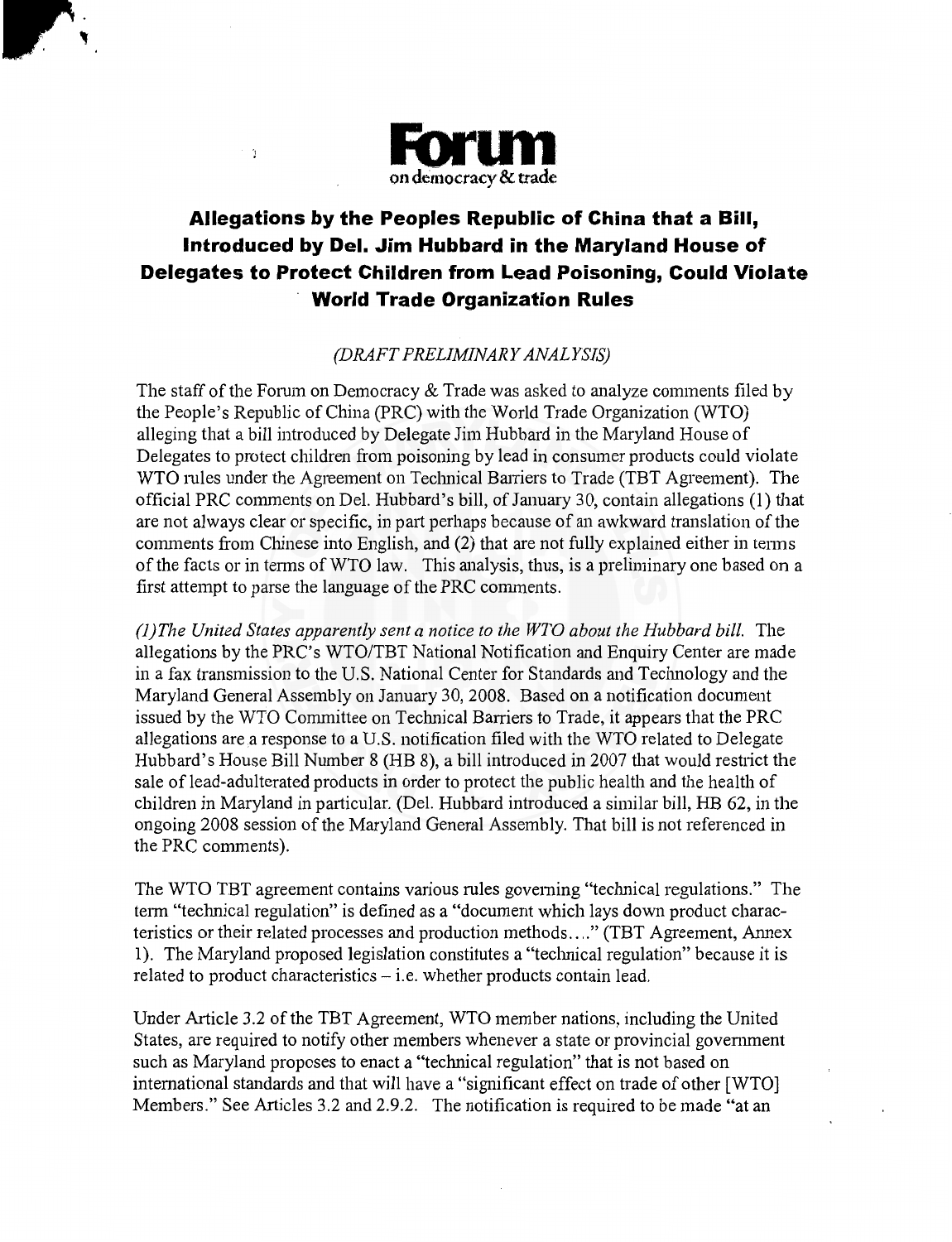

 $\sim$   $\gamma$ 

## **Allegations by the Peoples Republic of China that a Bill, Introduced by Del. Jim Hubbard in the Maryland House of Delegates to Protect Children from Lead Poisoning, Could Violate World Trade Organization Rules**

## (DRAFT PRELIMINARY ANALYSIS)

The staff of the Forum on Democracy & Trade was asked to analyze comments filed by the People's Republic of China (PRC) with the World Trade Organization (WTO) alleging that a bill introduced by Delegate Jim Hubbard in the Maryland House of Delegates to protect children from poisoning by lead in consumer products could violate WTO mles under the Agreement on Technical Barriers to Trade (TBT Agreement). The official PRC comments on Del. Hubbard's bill, of January 30, contain allegations (1) that are not always clear or specific, in part perhaps because of an awkward translation of the comments from Chinese into English, and (2) that are not fully explained either in tenns of the facts or in terms of WTO law. This analysis, thus, is a preliminary one based on a first attempt to parse the language of the PRC comments.

*(1) The United States apparently sent a notice to the WTO about the Hubbard bill.* The allegations by the PRC's WTO/TBT National Notification and Enquiry Center are made in a fax transmission to the U.S. National Center for Standards and Technology and the Maryland General Assembly on January 30, 2008. Based on a notification document issued by the WTO Committee on Technical Barriers to Trade, it appears that the PRC allegations are a response to a U.S. notification filed with the WTO related to Delegate Hubbard's House Bill Number 8 (HB 8), a bill introduced in 2007 that would restrict the sale of lead-adulterated products in order to protect the public health and the health of children in Maryland in particular. (Del. Hubbard introduced a similar bill, HB 62, in the ongoing 2008 session of the Maryland General Assembly. That bill is not referenced in the PRC comments).

The WTO TBT agreement contains various mles governing "technical regulations." The term "technical regulation" is defined as a "document which lays down product characteristics or their related processes and production methods .... " (TBT Agreement, Annex 1). The Maryland proposed legislation constitutes a "technical regulation" because it is related to product characteristics  $-$  i.e. whether products contain lead.

Under Article 3.2 of the TBT Agreement, WTO member nations, including the United States, are required to notify other members whenever a state or provincial government such as Maryland proposes to enact a "technical regulation" that is not based on international standards and that will have a "significant effect on trade of other [WTO] Members." See Articles 3.2 and 2.9.2. The notification is required to be made "at an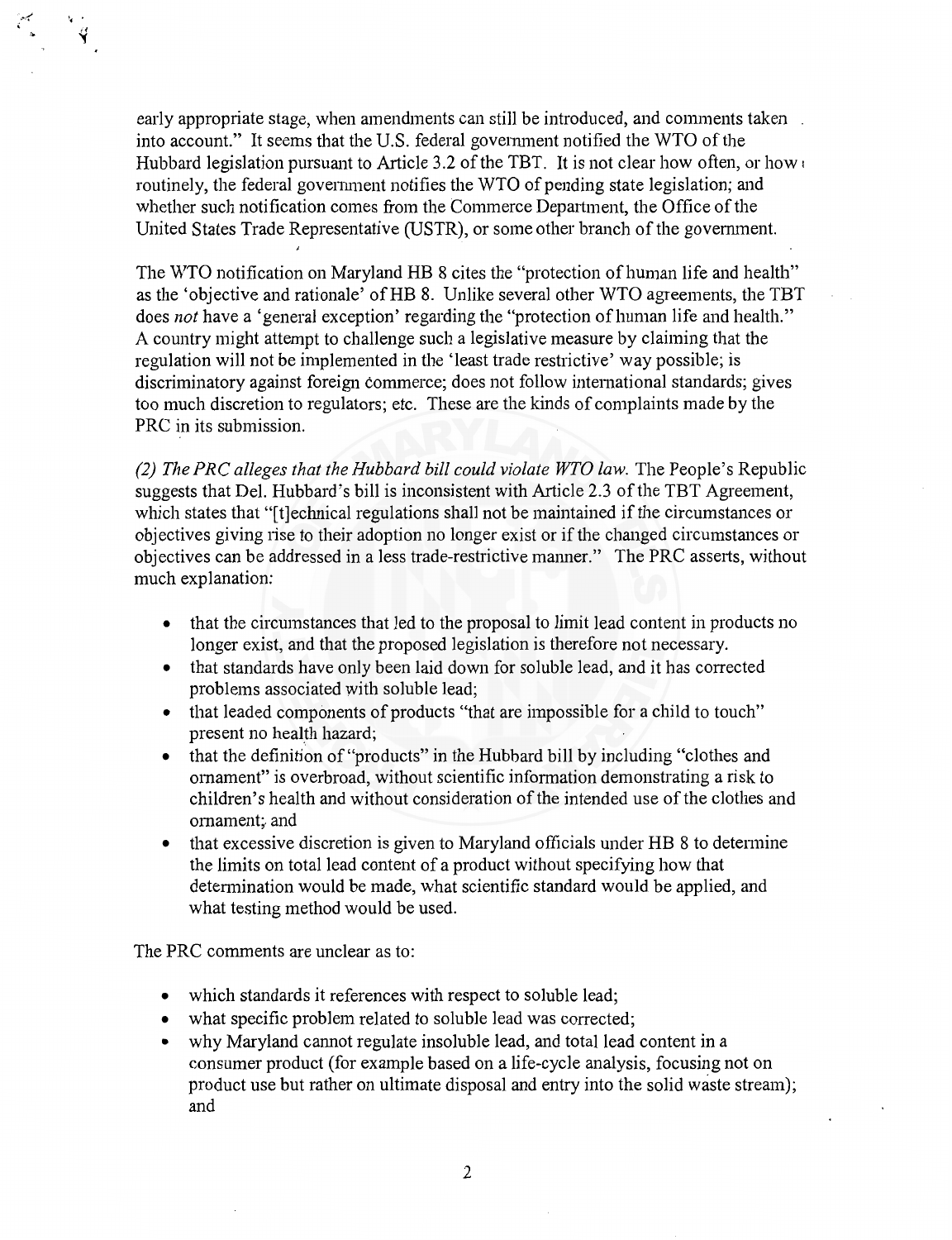early appropriate stage, when amendments can still be introduced, and comments taken into account." It seems that the U.S. federal government notified the WTO of the Hubbard legislation pursuant to Article 3.2 of the TBT. It is not clear how often, or how routinely, the federal government notifies the WTO of pending state legislation; and whether such notification comes from the Commerce Department, the Office of the United States Trade Representative (USTR), or some other branch of the government.

The WTO notification on Maryland HB 8 cites the "protection of human life and health" as the 'objective and rationale' ofHB 8. Unlike several other WTO agreements, the TBT does *not* have a 'general exception' regarding the "protection of human life and health." A country might attempt to challenge such a legislative measure by claiming that the regulation will not be implemented in the 'least trade restrictive' way possible; is discriminatory against foreign commerce; does not follow international standards; gives too much discretion to regulators; etc. These are the kinds of complaints made by the PRC in its submission.

*(2) The PRC alleges that the Hubbard bill could violate WTO law.* The People's Republic suggests that Del. Hubbard's bill is inconsistent with Article 2.3 of the TBT Agreement, which states that "[t]echnical regulations shall not be maintained if the circumstances or objectives giving iise to their adoption no longer exist or if the changed circumstances or objectives can be addressed in a less trade-restrictive manner." The PRC asserts, without much explanation:

- that the circumstances that led to the proposal to limit lead content in products no longer exist, and that the proposed legislation is therefore not necessary.
- that standards have only been laid down for soluble lead, and it has corrected problems associated with soluble lead;
- that leaded components of products "that are impossible for a child to touch" present no health hazard;
- that the definition of "products" in the Hubbard bill by including "clothes and ornament" is overbroad, without scientific information demonstrating a risk to children's health and without consideration of the intended use of the clothes and ornament; and
- that excessive discretion is given to Maryland officials under HB 8 to determine the limits on total lead content of a product without specifying how that detennination would be made, what scientific standard would be applied, and what testing method would be used.

The PRC comments are unclear as to:

 $\frac{1}{\alpha}$  $\mathbf{v}$ 

- which standards it references with respect to soluble lead;
- what specific problem related to soluble lead was corrected;
- why Maryland cannot regulate insoluble lead, and total lead content in a consumer product (for example based on a life-cycle analysis, focusing not on product use but rather on ultimate disposal and entry into the solid waste stream); and